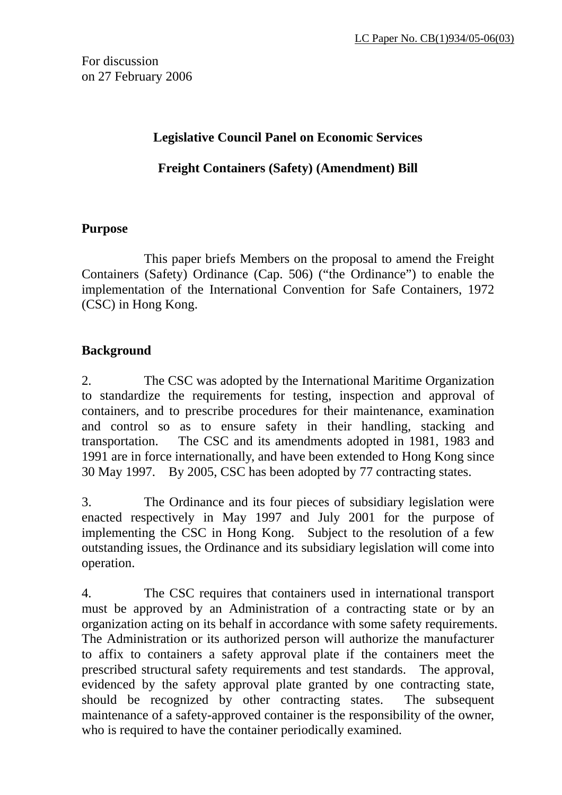For discussion on 27 February 2006

## **Legislative Council Panel on Economic Services**

**Freight Containers (Safety) (Amendment) Bill**

## **Purpose**

 This paper briefs Members on the proposal to amend the Freight Containers (Safety) Ordinance (Cap. 506) ("the Ordinance") to enable the implementation of the International Convention for Safe Containers, 1972 (CSC) in Hong Kong.

# **Background**

2. The CSC was adopted by the International Maritime Organization to standardize the requirements for testing, inspection and approval of containers, and to prescribe procedures for their maintenance, examination and control so as to ensure safety in their handling, stacking and transportation. The CSC and its amendments adopted in 1981, 1983 and 1991 are in force internationally, and have been extended to Hong Kong since 30 May 1997. By 2005, CSC has been adopted by 77 contracting states.

3. The Ordinance and its four pieces of subsidiary legislation were enacted respectively in May 1997 and July 2001 for the purpose of implementing the CSC in Hong Kong. Subject to the resolution of a few outstanding issues, the Ordinance and its subsidiary legislation will come into operation.

4. The CSC requires that containers used in international transport must be approved by an Administration of a contracting state or by an organization acting on its behalf in accordance with some safety requirements. The Administration or its authorized person will authorize the manufacturer to affix to containers a safety approval plate if the containers meet the prescribed structural safety requirements and test standards. The approval, evidenced by the safety approval plate granted by one contracting state, should be recognized by other contracting states. The subsequent maintenance of a safety-approved container is the responsibility of the owner, who is required to have the container periodically examined.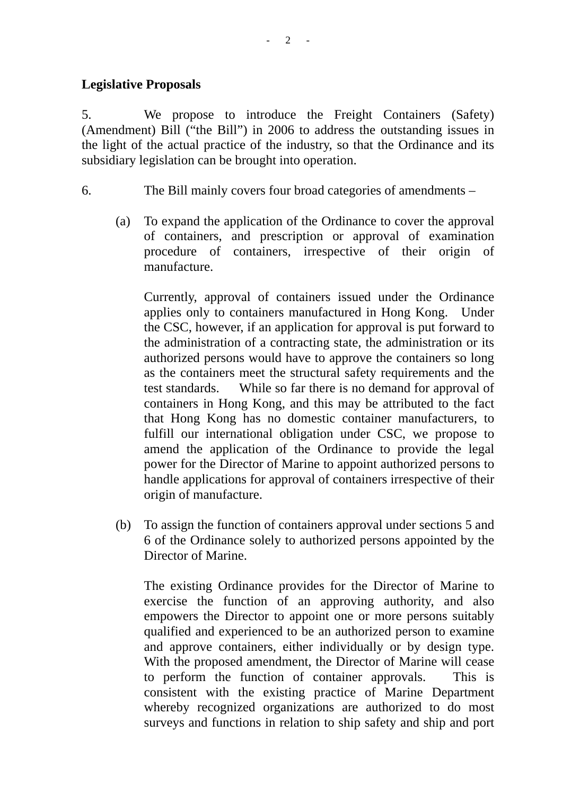5. We propose to introduce the Freight Containers (Safety) (Amendment) Bill ("the Bill") in 2006 to address the outstanding issues in the light of the actual practice of the industry, so that the Ordinance and its subsidiary legislation can be brought into operation.

6. The Bill mainly covers four broad categories of amendments –

(a) To expand the application of the Ordinance to cover the approval of containers, and prescription or approval of examination procedure of containers, irrespective of their origin of manufacture.

Currently, approval of containers issued under the Ordinance applies only to containers manufactured in Hong Kong. Under the CSC, however, if an application for approval is put forward to the administration of a contracting state, the administration or its authorized persons would have to approve the containers so long as the containers meet the structural safety requirements and the test standards. While so far there is no demand for approval of containers in Hong Kong, and this may be attributed to the fact that Hong Kong has no domestic container manufacturers, to fulfill our international obligation under CSC, we propose to amend the application of the Ordinance to provide the legal power for the Director of Marine to appoint authorized persons to handle applications for approval of containers irrespective of their origin of manufacture.

(b) To assign the function of containers approval under sections 5 and 6 of the Ordinance solely to authorized persons appointed by the Director of Marine.

The existing Ordinance provides for the Director of Marine to exercise the function of an approving authority, and also empowers the Director to appoint one or more persons suitably qualified and experienced to be an authorized person to examine and approve containers, either individually or by design type. With the proposed amendment, the Director of Marine will cease to perform the function of container approvals. This is consistent with the existing practice of Marine Department whereby recognized organizations are authorized to do most surveys and functions in relation to ship safety and ship and port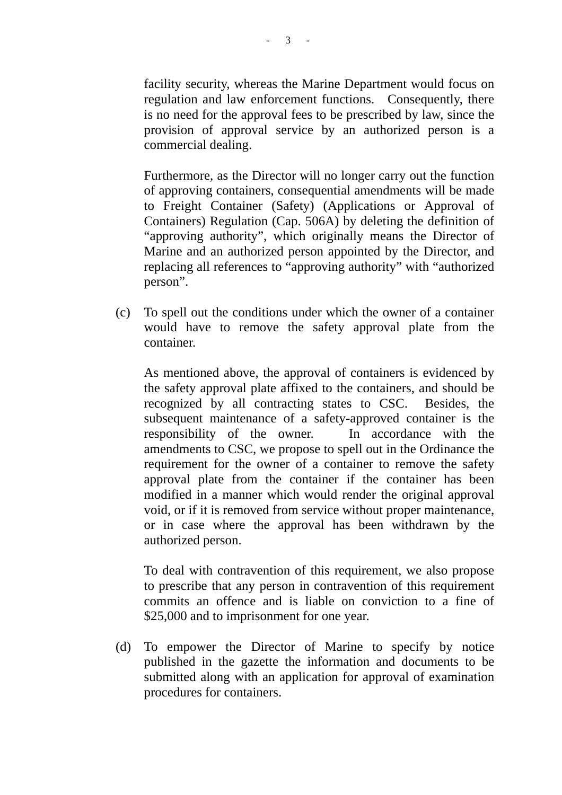facility security, whereas the Marine Department would focus on regulation and law enforcement functions. Consequently, there is no need for the approval fees to be prescribed by law, since the provision of approval service by an authorized person is a commercial dealing.

 Furthermore, as the Director will no longer carry out the function of approving containers, consequential amendments will be made to Freight Container (Safety) (Applications or Approval of Containers) Regulation (Cap. 506A) by deleting the definition of "approving authority", which originally means the Director of Marine and an authorized person appointed by the Director, and replacing all references to "approving authority" with "authorized person".

(c) To spell out the conditions under which the owner of a container would have to remove the safety approval plate from the container.

 As mentioned above, the approval of containers is evidenced by the safety approval plate affixed to the containers, and should be recognized by all contracting states to CSC. Besides, the subsequent maintenance of a safety-approved container is the responsibility of the owner. In accordance with the amendments to CSC, we propose to spell out in the Ordinance the requirement for the owner of a container to remove the safety approval plate from the container if the container has been modified in a manner which would render the original approval void, or if it is removed from service without proper maintenance, or in case where the approval has been withdrawn by the authorized person.

 To deal with contravention of this requirement, we also propose to prescribe that any person in contravention of this requirement commits an offence and is liable on conviction to a fine of \$25,000 and to imprisonment for one year.

(d) To empower the Director of Marine to specify by notice published in the gazette the information and documents to be submitted along with an application for approval of examination procedures for containers.